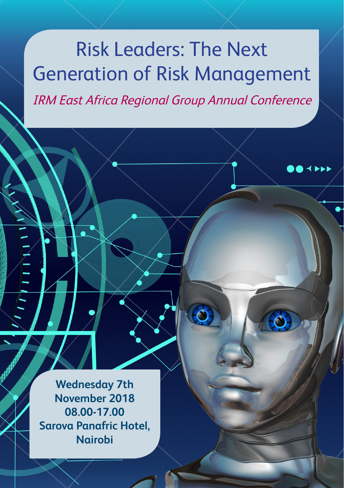## Risk Leaders: The Next Generation of Risk Management IRM East Africa Regional Group Annual Conference

**Wednesday 7th November 2018 08.00-17.00 Sarova Panafric Hotel, Nairobi**